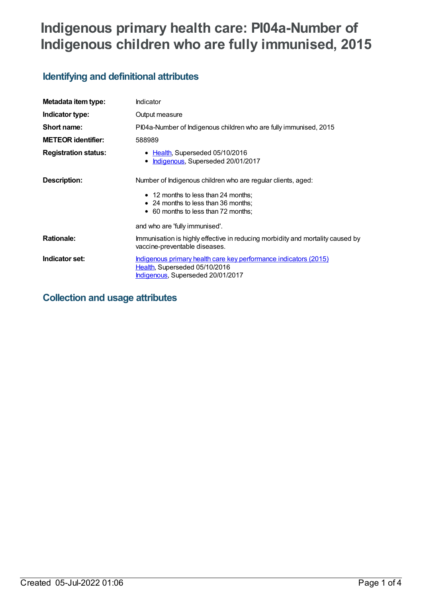# **Indigenous primary health care: PI04a-Number of Indigenous children who are fully immunised, 2015**

## **Identifying and definitional attributes**

| Metadata item type:         | <b>Indicator</b>                                                                                                                              |  |
|-----------------------------|-----------------------------------------------------------------------------------------------------------------------------------------------|--|
| Indicator type:             | Output measure                                                                                                                                |  |
| Short name:                 | PI04a-Number of Indigenous children who are fully immunised, 2015                                                                             |  |
| <b>METEOR identifier:</b>   | 588989                                                                                                                                        |  |
| <b>Registration status:</b> | • Health, Superseded 05/10/2016<br>Indigenous, Superseded 20/01/2017                                                                          |  |
| <b>Description:</b>         | Number of Indigenous children who are regular clients, aged:                                                                                  |  |
|                             | • 12 months to less than 24 months;                                                                                                           |  |
|                             | • 24 months to less than 36 months;                                                                                                           |  |
|                             | • 60 months to less than 72 months;                                                                                                           |  |
|                             | and who are 'fully immunised'.                                                                                                                |  |
| <b>Rationale:</b>           | Immunisation is highly effective in reducing morbidity and mortality caused by<br>vaccine-preventable diseases.                               |  |
| Indicator set:              | <u>Indigenous primary health care key performance indicators (2015)</u><br>Health, Superseded 05/10/2016<br>Indigenous, Superseded 20/01/2017 |  |

## **Collection and usage attributes**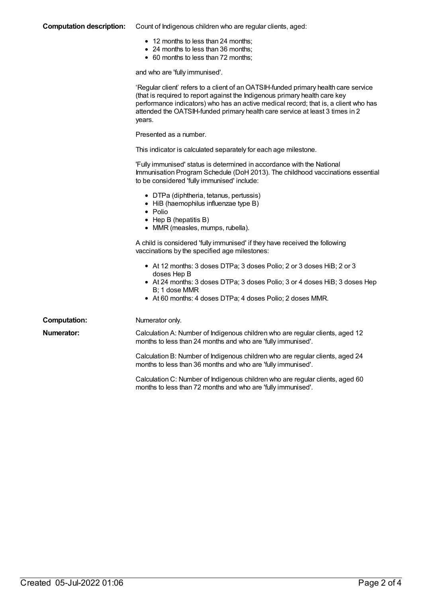#### **Computation description:** Count of Indigenous children who are regular clients, aged:

- 12 months to less than 24 months;
- 24 months to less than 36 months;
- 60 months to less than 72 months;

and who are 'fully immunised'.

|                     | 'Regular client' refers to a client of an OATSIH-funded primary health care service<br>(that is required to report against the Indigenous primary health care key<br>performance indicators) who has an active medical record; that is, a client who has<br>attended the OATSIH-funded primary health care service at least 3 times in 2<br>years. |
|---------------------|----------------------------------------------------------------------------------------------------------------------------------------------------------------------------------------------------------------------------------------------------------------------------------------------------------------------------------------------------|
|                     | Presented as a number.                                                                                                                                                                                                                                                                                                                             |
|                     | This indicator is calculated separately for each age milestone.                                                                                                                                                                                                                                                                                    |
|                     | 'Fully immunised' status is determined in accordance with the National<br>Immunisation Program Schedule (DoH 2013). The childhood vaccinations essential<br>to be considered 'fully immunised' include:                                                                                                                                            |
|                     | • DTPa (diphtheria, tetanus, pertussis)<br>• HiB (haemophilus influenzae type B)<br>$\bullet$ Polio<br>$\bullet$ Hep B (hepatitis B)<br>• MMR (measles, mumps, rubella).                                                                                                                                                                           |
|                     | A child is considered 'fully immunised' if they have received the following<br>vaccinations by the specified age milestones:                                                                                                                                                                                                                       |
|                     | • At 12 months: 3 doses DTPa; 3 doses Polio; 2 or 3 doses HiB; 2 or 3<br>doses Hep B<br>• At 24 months: 3 doses DTPa; 3 doses Polio; 3 or 4 doses HiB; 3 doses Hep<br>B; 1 dose MMR<br>• At 60 months: 4 doses DTPa; 4 doses Polio; 2 doses MMR.                                                                                                   |
| <b>Computation:</b> | Numerator only.                                                                                                                                                                                                                                                                                                                                    |
| Numerator:          | Calculation A: Number of Indigenous children who are regular clients, aged 12<br>months to less than 24 months and who are 'fully immunised'.                                                                                                                                                                                                      |
|                     | Calculation B: Number of Indigenous children who are regular clients, aged 24<br>months to less than 36 months and who are 'fully immunised'.                                                                                                                                                                                                      |
|                     | Calculation C: Number of Indigenous children who are regular clients, aged 60<br>months to less than 72 months and who are 'fully immunised'.                                                                                                                                                                                                      |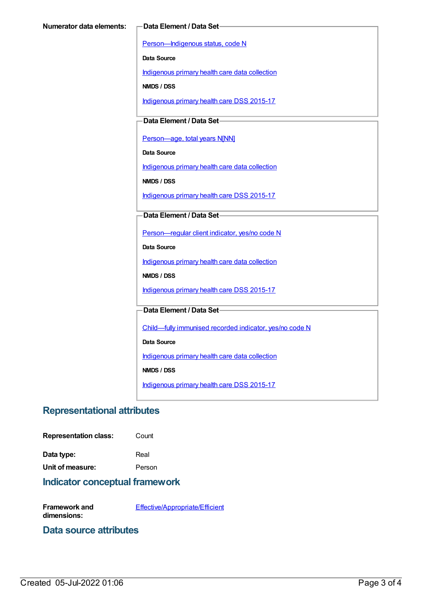[Person—Indigenous](https://meteor.aihw.gov.au/content/291036) status, code N

**Data Source**

[Indigenous](https://meteor.aihw.gov.au/content/430643) primary health care data collection

**NMDS / DSS**

[Indigenous](https://meteor.aihw.gov.au/content/585036) primary health care DSS 2015-17

**Data Element / Data Set**

[Person—age,](https://meteor.aihw.gov.au/content/303794) total years N[NN]

**Data Source**

[Indigenous](https://meteor.aihw.gov.au/content/430643) primary health care data collection

**NMDS / DSS**

[Indigenous](https://meteor.aihw.gov.au/content/585036) primary health care DSS 2015-17

#### **Data Element / Data Set**

[Person—regular](https://meteor.aihw.gov.au/content/436639) client indicator, yes/no code N

**Data Source**

[Indigenous](https://meteor.aihw.gov.au/content/430643) primary health care data collection

**NMDS / DSS**

[Indigenous](https://meteor.aihw.gov.au/content/585036) primary health care DSS 2015-17

#### **Data Element / Data Set**

[Child—fully](https://meteor.aihw.gov.au/content/457664) immunised recorded indicator, yes/no code N

**Data Source**

[Indigenous](https://meteor.aihw.gov.au/content/430643) primary health care data collection

**NMDS / DSS**

[Indigenous](https://meteor.aihw.gov.au/content/585036) primary health care DSS 2015-17

### **Representational attributes**

**Representation class:** Count

**Data type:** Real

**Unit of measure:** Person

#### **Indicator conceptual framework**

**Framework and dimensions:** [Effective/Appropriate/Efficient](https://meteor.aihw.gov.au/content/410681)

#### **Data source attributes**